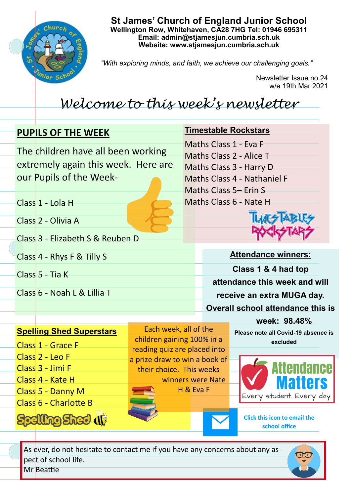

**St James' Church of England Junior School Wellington Row, Whitehaven, CA28 7HG Tel: 01946 695311 Email: admin@stjamesjun.cumbria.sch.uk Website: www.stjamesjun.cumbria.sch.uk**

*"With exploring minds, and faith, we achieve our challenging goals."*

Newsletter Issue no.24 w/e 19th Mar 2021

# *Welcome to this week's newsletter*

## **PUPILS OF THE WEEK** The children have all been working extremely again this week. Here are our Pupils of the Week-Class 1 - Lola H Class 2 - Olivia A Class 3 - Elizabeth S & Reuben D Class 4 - Rhys F & Tilly S Class 5 - Tia K Class 6 - Noah L & Lillia T **Attendance winners: Class 1 & 4 had top attendance this week and will receive an extra MUGA day. Overall school attendance this is week: 98.48% Timestable Rockstars** Maths Class 1 - Eva F Maths Class 2 - Alice T Maths Class 3 - Harry D Maths Class 4 - Nathaniel F Maths Class 5– Erin S Maths Class 6 - Nate H

## **Spelling Shed Superstars**

Class 1 - Grace F Class 2 - Leo F Class 3 - Jimi F Class 4 - Kate H Class 5 - Danny M

Class 6 - Charlotte B

**Spelling Shed (1)** 

Each week, all of the children gaining 100% in a reading quiz are placed into a prize draw to win a book of their choice. This weeks winners were Nate H & Eva F

**Please note all Covid-19 absence is excluded** 



**Click this icon to email the school office**

As ever, do not hesitate to contact me if you have any concerns about any aspect of school life. Mr Beattie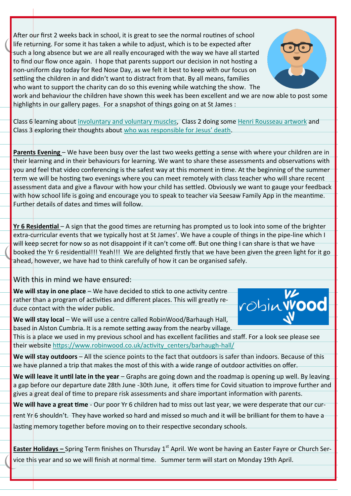After our first 2 weeks back in school, it is great to see the normal routines of school life returning. For some it has taken a while to adjust, which is to be expected after such a long absence but we are all really encouraged with the way we have all started to find our flow once again. I hope that parents support our decision in not hosting a non-uniform day today for Red Nose Day, as we felt it best to keep with our focus on settling the children in and didn't want to distract from that. By all means, families who want to support the charity can do so this evening while watching the show. The



work and behaviour the children have shown this week has been excellent and we are now able to post some highlights in our gallery pages. For a snapshot of things going on at St James :

Class 6 learning about [involuntary and voluntary muscles,](http://www.stjamesjun.cumbria.sch.uk/work/voluntary-and-involuntary-muscles./64163) Class 2 doing some [Henri Rousseau artwork](http://www.stjamesjun.cumbria.sch.uk/work/class-2-art---henri-rousseau/64232) and Class 3 exploring their thoughts about [who was responsible for Jesus](http://www.stjamesjun.cumbria.sch.uk/work/who-was-responsible-for-jesus-death/64164)' death.

**Parents Evening** – We have been busy over the last two weeks getting a sense with where your children are in their learning and in their behaviours for learning. We want to share these assessments and observations with you and feel that video conferencing is the safest way at this moment in time. At the beginning of the summer term we will be hosting two evenings where you can meet remotely with class teacher who will share recent assessment data and give a flavour with how your child has settled. Obviously we want to gauge your feedback with how school life is going and encourage you to speak to teacher via Seesaw Family App in the meantime. Further details of dates and times will follow.

**Yr 6 Residential** – A sign that the good times are returning has prompted us to look into some of the brighter extra-curricular events that we typically host at St James'. We have a couple of things in the pipe-line which I will keep secret for now so as not disappoint if it can't come off. But one thing I can share is that we have booked the Yr 6 residential!!! Yeah!!! We are delighted firstly that we have been given the green light for it go ahead, however, we have had to think carefully of how it can be organised safely.

With this in mind we have ensured:

We will stay in one place - We have decided to stick to one activity centre rather than a program of activities and different places. This will greatly reduce contact with the wider public.



We will stay local – We will use a centre called RobinWood/Barhaugh Hall, based in Alston Cumbria. It is a remote setting away from the nearby village.

This is a place we used in my previous school and has excellent facilities and staff. For a look see please see their website [https://www.robinwood.co.uk/activity\\_centers/barhaugh](https://www.robinwood.co.uk/activity_centers/barhaugh-hall/)-hall/

**We will stay outdoors** – All the science points to the fact that outdoors is safer than indoors. Because of this we have planned a trip that makes the most of this with a wide range of outdoor activities on offer.

We will leave it until late in the year – Graphs are going down and the roadmap is opening up well. By leaving a gap before our departure date 28th June -30th June, it offers time for Covid situation to improve further and gives a great deal of time to prepare risk assessments and share important information with parents.

**We will have a great time** - Our poor Yr 6 children had to miss out last year, we were desperate that our cur-

rent Yr 6 shouldn't. They have worked so hard and missed so much and it will be brilliant for them to have a lasting memory together before moving on to their respective secondary schools.

**Easter Holidays –** Spring Term finishes on Thursday 1<sup>st</sup> April. We wont be having an Easter Fayre or Church Service this year and so we will finish at normal time. Summer term will start on Monday 19th April.